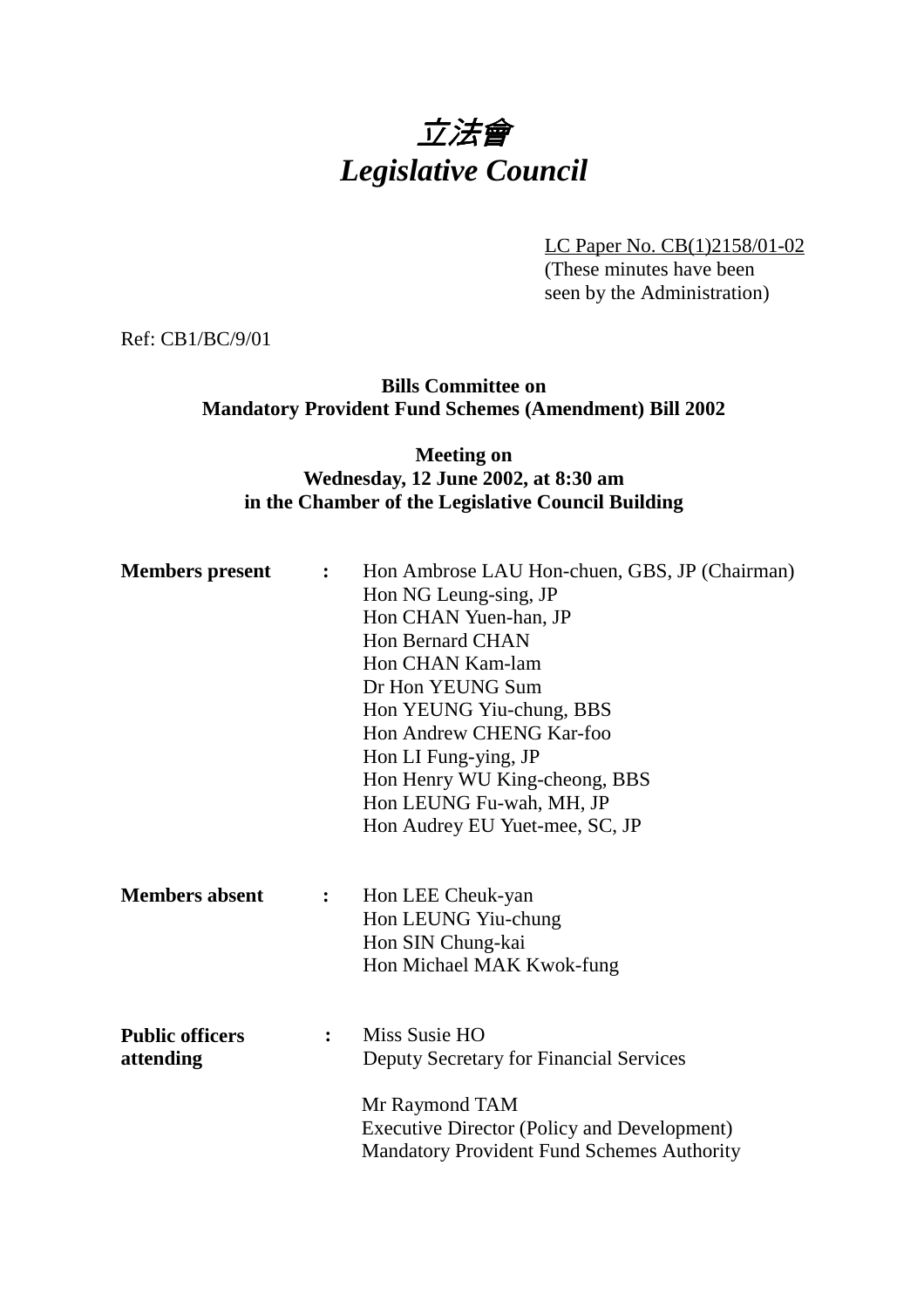# 立法會 *Legislative Council*

LC Paper No. CB(1)2158/01-02

(These minutes have been seen by the Administration)

Ref: CB1/BC/9/01

**Bills Committee on Mandatory Provident Fund Schemes (Amendment) Bill 2002**

## **Meeting on Wednesday, 12 June 2002, at 8:30 am in the Chamber of the Legislative Council Building**

| <b>Members</b> present              | $\ddot{\cdot}$ | Hon Ambrose LAU Hon-chuen, GBS, JP (Chairman)<br>Hon NG Leung-sing, JP<br>Hon CHAN Yuen-han, JP<br><b>Hon Bernard CHAN</b><br>Hon CHAN Kam-lam<br>Dr Hon YEUNG Sum<br>Hon YEUNG Yiu-chung, BBS<br>Hon Andrew CHENG Kar-foo |
|-------------------------------------|----------------|----------------------------------------------------------------------------------------------------------------------------------------------------------------------------------------------------------------------------|
|                                     |                | Hon LI Fung-ying, JP<br>Hon Henry WU King-cheong, BBS<br>Hon LEUNG Fu-wah, MH, JP<br>Hon Audrey EU Yuet-mee, SC, JP                                                                                                        |
| <b>Members absent</b>               | $\ddot{\cdot}$ | Hon LEE Cheuk-yan<br>Hon LEUNG Yiu-chung<br>Hon SIN Chung-kai<br>Hon Michael MAK Kwok-fung                                                                                                                                 |
| <b>Public officers</b><br>attending | $\ddot{\cdot}$ | Miss Susie HO<br><b>Deputy Secretary for Financial Services</b>                                                                                                                                                            |
|                                     |                | Mr Raymond TAM<br><b>Executive Director (Policy and Development)</b><br><b>Mandatory Provident Fund Schemes Authority</b>                                                                                                  |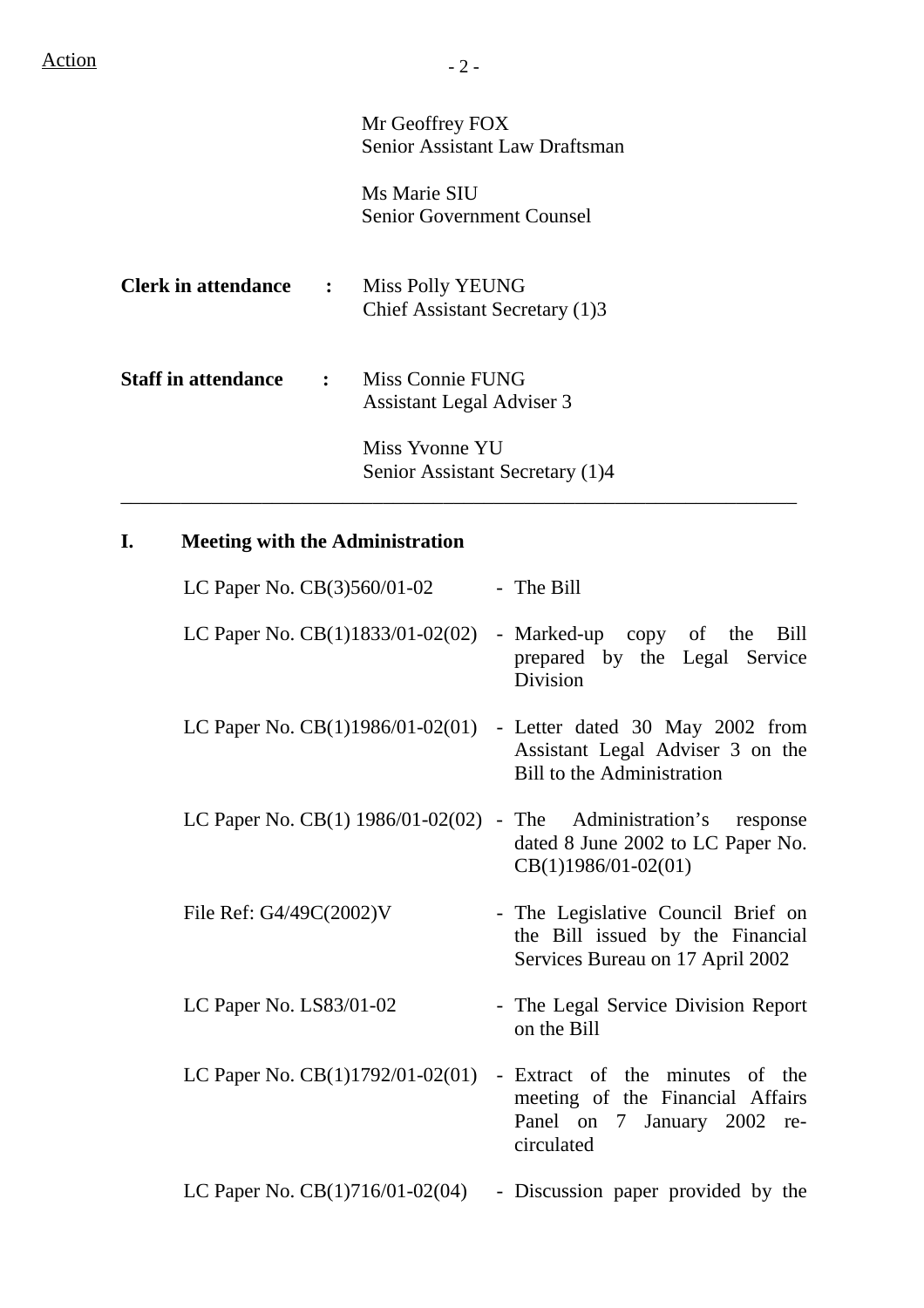Mr Geoffrey FOX Senior Assistant Law Draftsman

Ms Marie SIU Senior Government Counsel

| <b>Clerk in attendance</b> | Miss Polly YEUNG               |
|----------------------------|--------------------------------|
|                            | Chief Assistant Secretary (1)3 |
|                            |                                |

**Staff in attendance :** Miss Connie FUNG Assistant Legal Adviser 3

> Miss Yvonne YU Senior Assistant Secretary (1)4

\_\_\_\_\_\_\_\_\_\_\_\_\_\_\_\_\_\_\_\_\_\_\_\_\_\_\_\_\_\_\_\_\_\_\_\_\_\_\_\_\_\_\_\_\_\_\_\_\_\_\_\_\_\_\_\_\_\_\_\_\_\_\_\_\_\_\_

# **I. Meeting with the Administration**

| LC Paper No. CB(3)560/01-02        | - The Bill                                                                                                                        |
|------------------------------------|-----------------------------------------------------------------------------------------------------------------------------------|
| LC Paper No. $CB(1)1833/01-02(02)$ | - Marked-up copy of the Bill<br>prepared by the Legal Service<br>Division                                                         |
| LC Paper No. CB(1)1986/01-02(01)   | - Letter dated 30 May 2002 from<br>Assistant Legal Adviser 3 on the<br><b>Bill to the Administration</b>                          |
|                                    | LC Paper No. $CB(1)$ 1986/01-02(02) - The Administration's response<br>dated 8 June 2002 to LC Paper No.<br>$CB(1)1986/01-02(01)$ |
| File Ref: G4/49C(2002)V            | - The Legislative Council Brief on<br>the Bill issued by the Financial<br>Services Bureau on 17 April 2002                        |
| LC Paper No. $LS83/01-02$          | - The Legal Service Division Report<br>on the Bill                                                                                |
| LC Paper No. $CB(1)1792/01-02(01)$ | - Extract of the minutes of the<br>meeting of the Financial Affairs<br>Panel on 7 January 2002 re-<br>circulated                  |
| LC Paper No. $CB(1)716/01-02(04)$  | - Discussion paper provided by the                                                                                                |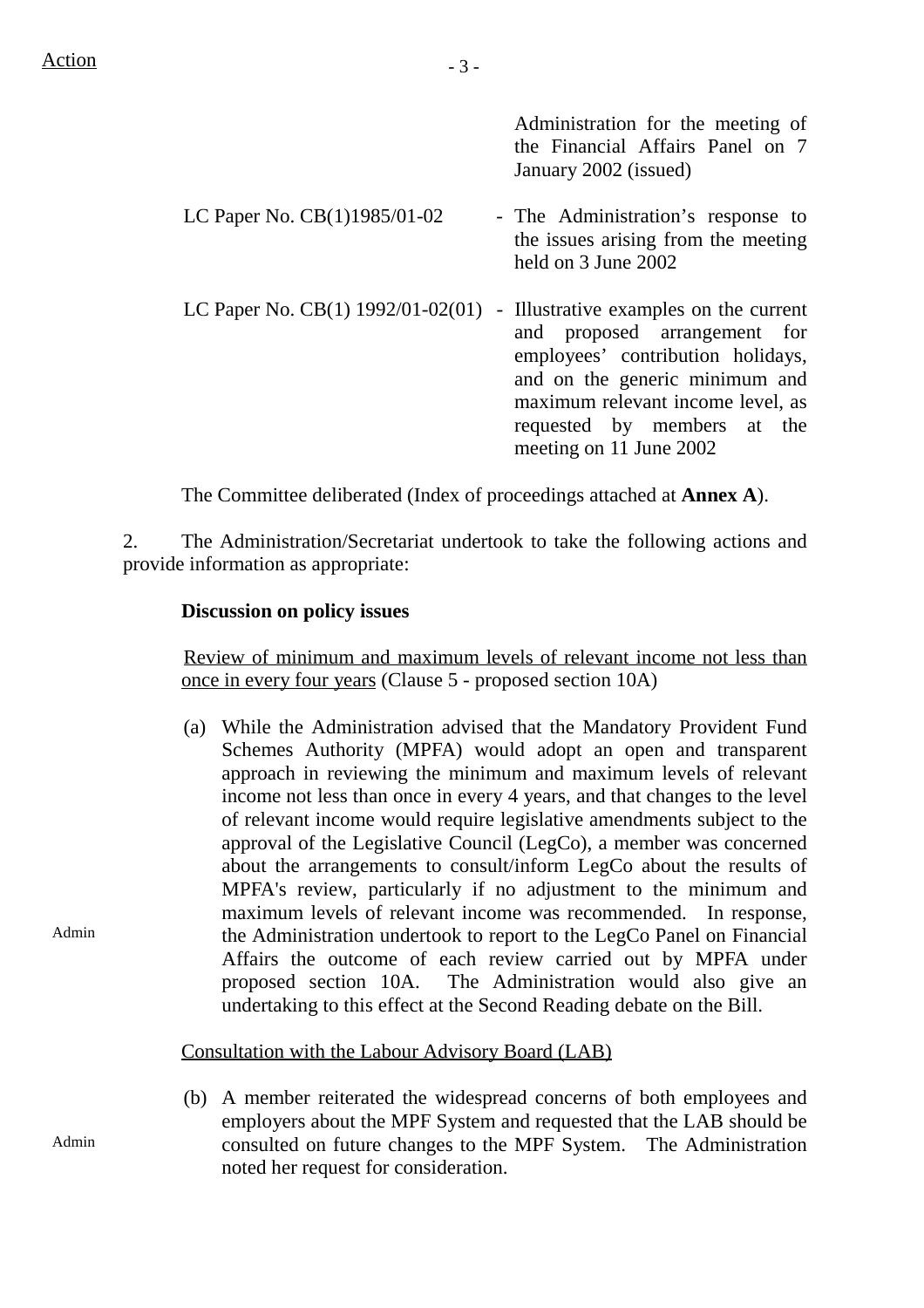|                              | Administration for the meeting of<br>the Financial Affairs Panel on 7<br>January 2002 (issued)                                                                                                                                                                                   |
|------------------------------|----------------------------------------------------------------------------------------------------------------------------------------------------------------------------------------------------------------------------------------------------------------------------------|
| LC Paper No. CB(1)1985/01-02 | - The Administration's response to<br>the issues arising from the meeting<br>held on 3 June 2002                                                                                                                                                                                 |
|                              | LC Paper No. $CB(1)$ 1992/01-02(01) - Illustrative examples on the current<br>and proposed arrangement for<br>employees' contribution holidays,<br>and on the generic minimum and<br>maximum relevant income level, as<br>requested by members at the<br>meeting on 11 June 2002 |

The Committee deliberated (Index of proceedings attached at **Annex A**).

2. The Administration/Secretariat undertook to take the following actions and provide information as appropriate:

#### **Discussion on policy issues**

Review of minimum and maximum levels of relevant income not less than once in every four years (Clause 5 - proposed section 10A)

(a) While the Administration advised that the Mandatory Provident Fund Schemes Authority (MPFA) would adopt an open and transparent approach in reviewing the minimum and maximum levels of relevant income not less than once in every 4 years, and that changes to the level of relevant income would require legislative amendments subject to the approval of the Legislative Council (LegCo), a member was concerned about the arrangements to consult/inform LegCo about the results of MPFA's review, particularly if no adjustment to the minimum and maximum levels of relevant income was recommended. In response, the Administration undertook to report to the LegCo Panel on Financial Affairs the outcome of each review carried out by MPFA under proposed section 10A. The Administration would also give an undertaking to this effect at the Second Reading debate on the Bill.

#### Consultation with the Labour Advisory Board (LAB)

(b) A member reiterated the widespread concerns of both employees and employers about the MPF System and requested that the LAB should be consulted on future changes to the MPF System. The Administration noted her request for consideration.

Admin

Admin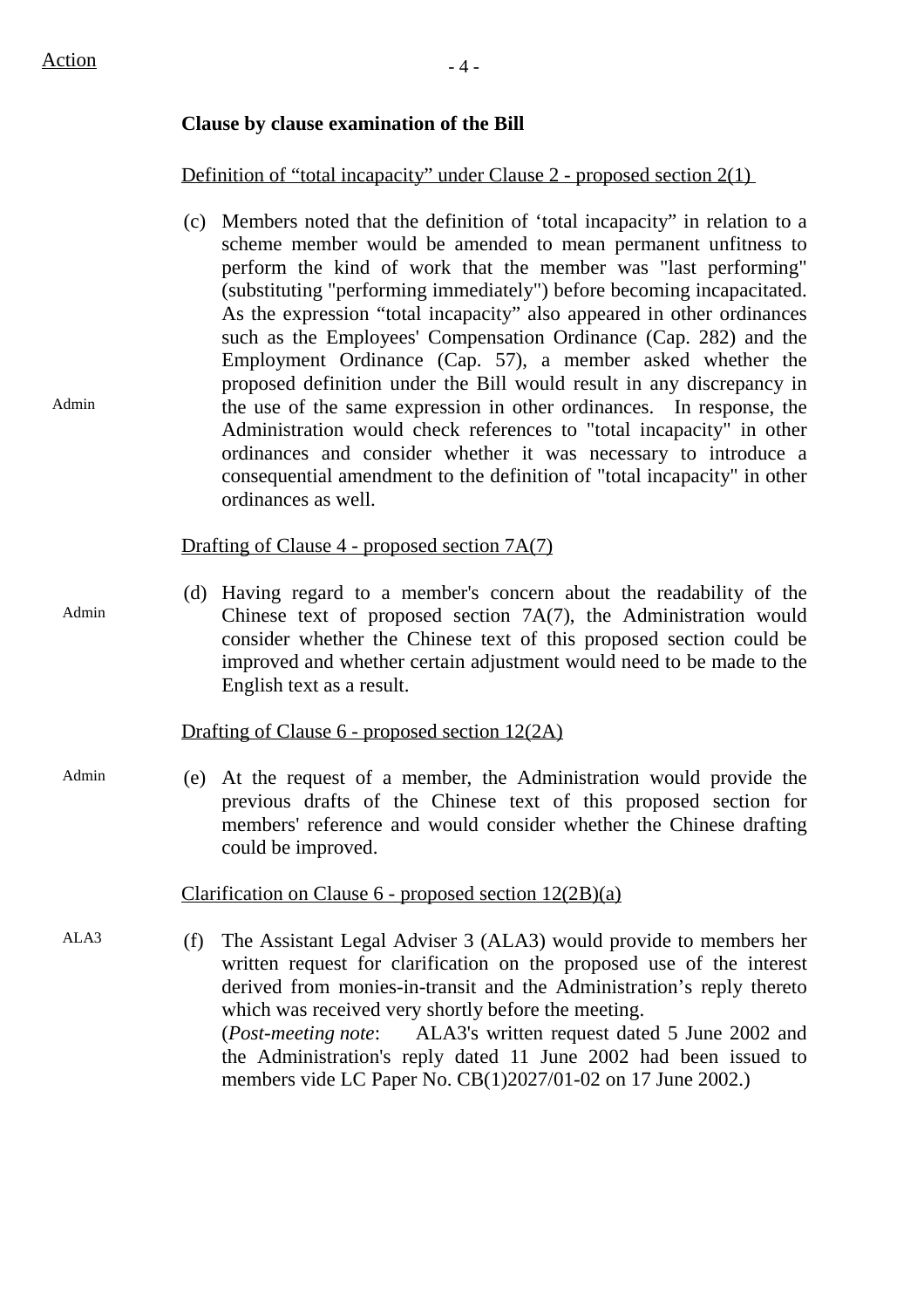## **Clause by clause examination of the Bill**

Definition of "total incapacity" under Clause 2 - proposed section 2(1)

(c) Members noted that the definition of 'total incapacity" in relation to a scheme member would be amended to mean permanent unfitness to perform the kind of work that the member was "last performing" (substituting "performing immediately") before becoming incapacitated. As the expression "total incapacity" also appeared in other ordinances such as the Employees' Compensation Ordinance (Cap. 282) and the Employment Ordinance (Cap. 57), a member asked whether the proposed definition under the Bill would result in any discrepancy in the use of the same expression in other ordinances. In response, the Administration would check references to "total incapacity" in other ordinances and consider whether it was necessary to introduce a consequential amendment to the definition of "total incapacity" in other ordinances as well.

## Drafting of Clause 4 - proposed section 7A(7)

Admin (d) Having regard to a member's concern about the readability of the Chinese text of proposed section 7A(7), the Administration would consider whether the Chinese text of this proposed section could be improved and whether certain adjustment would need to be made to the English text as a result.

#### Drafting of Clause 6 - proposed section 12(2A)

Admin (e) At the request of a member, the Administration would provide the previous drafts of the Chinese text of this proposed section for members' reference and would consider whether the Chinese drafting could be improved.

#### Clarification on Clause 6 - proposed section 12(2B)(a)

ALA3 (f) The Assistant Legal Adviser 3 (ALA3) would provide to members her written request for clarification on the proposed use of the interest derived from monies-in-transit and the Administration's reply thereto which was received very shortly before the meeting. (*Post-meeting note*: ALA3's written request dated 5 June 2002 and the Administration's reply dated 11 June 2002 had been issued to members vide LC Paper No. CB(1)2027/01-02 on 17 June 2002.)

Admin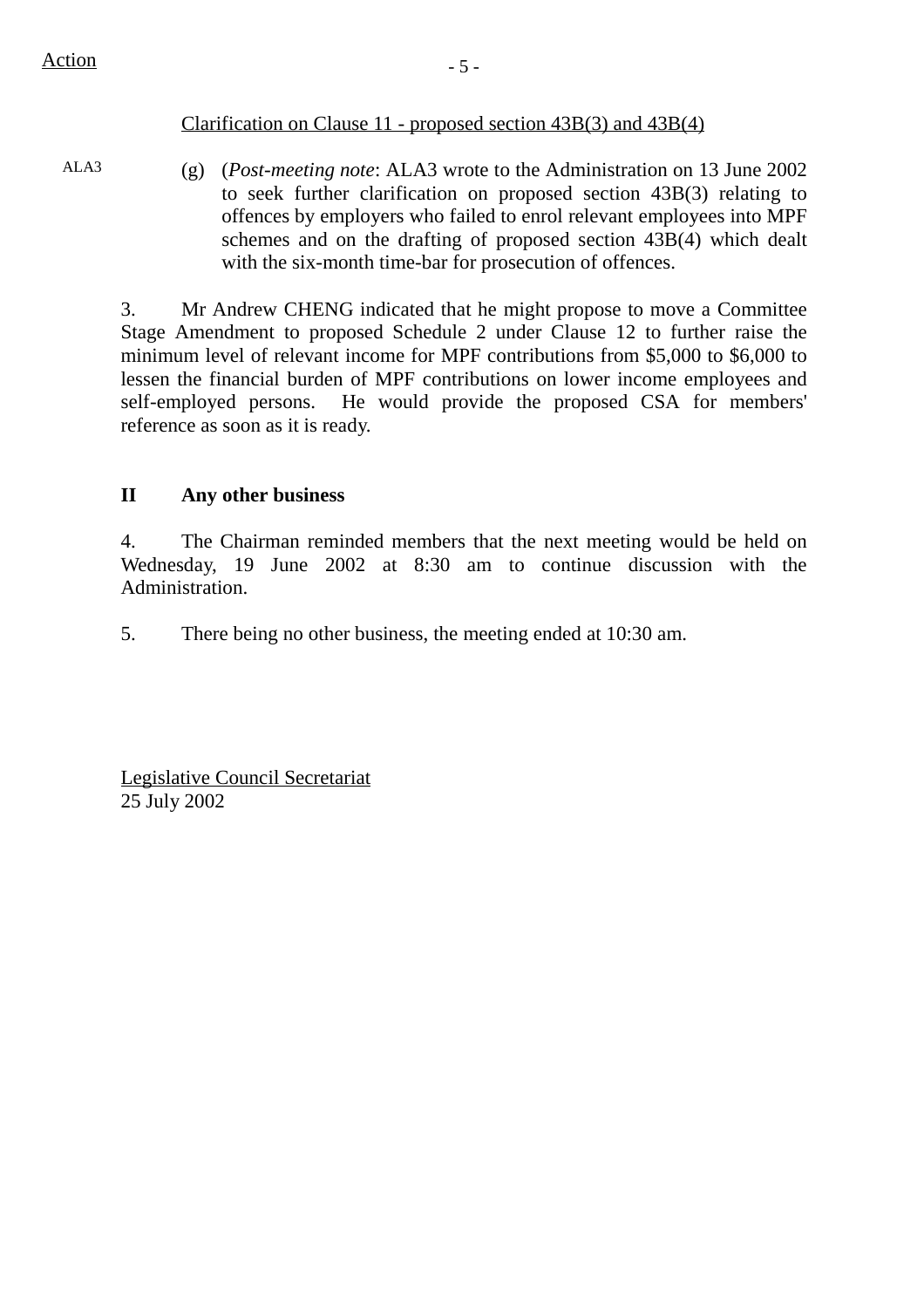## Clarification on Clause 11 - proposed section 43B(3) and 43B(4)

ALA3 (g) (*Post-meeting note*: ALA3 wrote to the Administration on 13 June 2002 to seek further clarification on proposed section 43B(3) relating to offences by employers who failed to enrol relevant employees into MPF schemes and on the drafting of proposed section 43B(4) which dealt with the six-month time-bar for prosecution of offences.

3. Mr Andrew CHENG indicated that he might propose to move a Committee Stage Amendment to proposed Schedule 2 under Clause 12 to further raise the minimum level of relevant income for MPF contributions from \$5,000 to \$6,000 to lessen the financial burden of MPF contributions on lower income employees and self-employed persons. He would provide the proposed CSA for members' reference as soon as it is ready.

## **II Any other business**

4. The Chairman reminded members that the next meeting would be held on Wednesday, 19 June 2002 at 8:30 am to continue discussion with the Administration.

5. There being no other business, the meeting ended at 10:30 am.

Legislative Council Secretariat 25 July 2002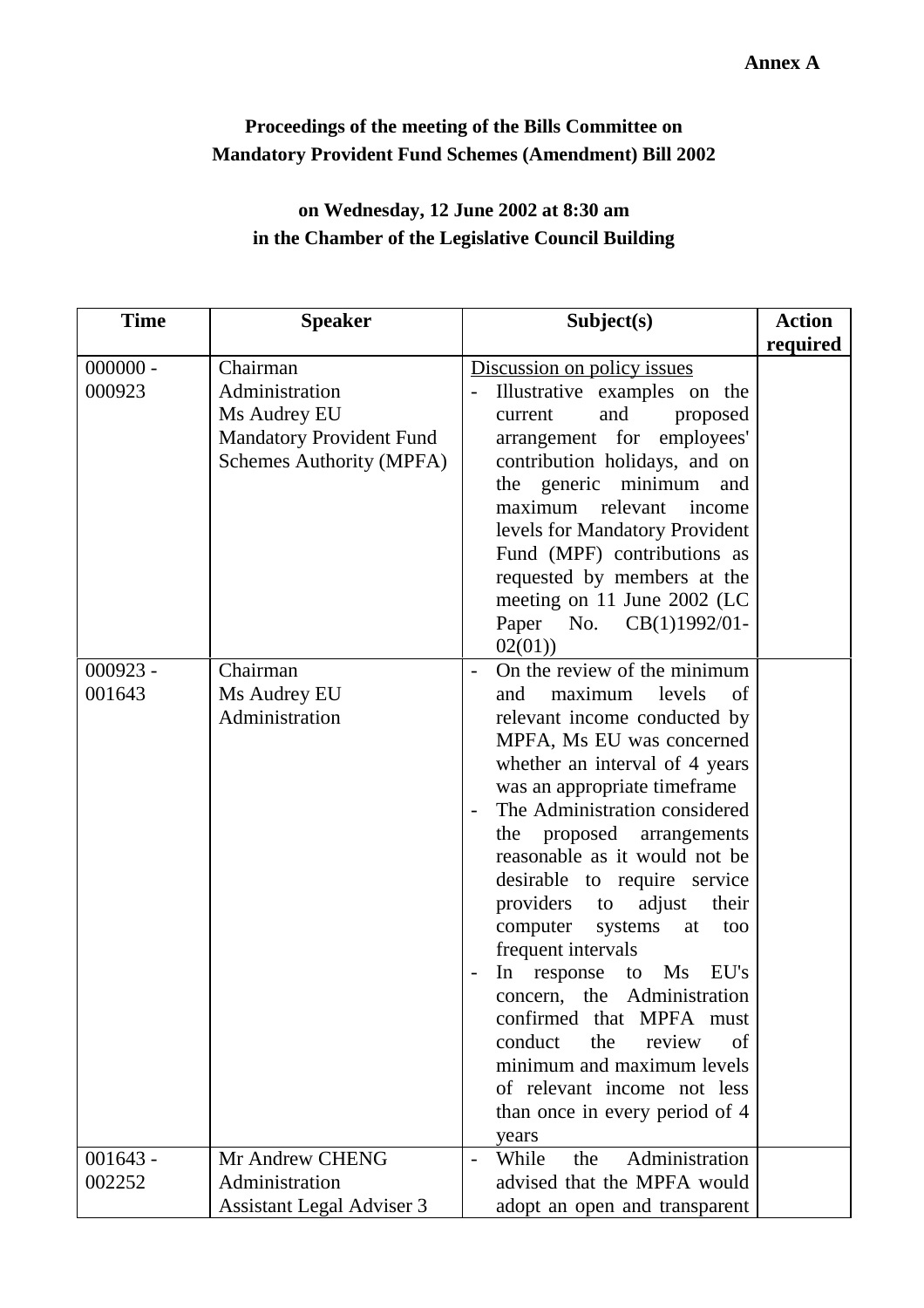# **Proceedings of the meeting of the Bills Committee on Mandatory Provident Fund Schemes (Amendment) Bill 2002**

# **on Wednesday, 12 June 2002 at 8:30 am in the Chamber of the Legislative Council Building**

| <b>Time</b>          | <b>Speaker</b>                                                                                                   | Subject(s)                                                                                                                                                                                                                                                                                                                                                                                                                                                                                                                                                                                                                                                     | <b>Action</b> |
|----------------------|------------------------------------------------------------------------------------------------------------------|----------------------------------------------------------------------------------------------------------------------------------------------------------------------------------------------------------------------------------------------------------------------------------------------------------------------------------------------------------------------------------------------------------------------------------------------------------------------------------------------------------------------------------------------------------------------------------------------------------------------------------------------------------------|---------------|
|                      |                                                                                                                  |                                                                                                                                                                                                                                                                                                                                                                                                                                                                                                                                                                                                                                                                | required      |
| $000000 -$<br>000923 | Chairman<br>Administration<br>Ms Audrey EU<br><b>Mandatory Provident Fund</b><br><b>Schemes Authority (MPFA)</b> | Discussion on policy issues<br>Illustrative examples on the<br>and<br>proposed<br>current<br>arrangement for employees'<br>contribution holidays, and on<br>the generic minimum<br>and<br>relevant<br>maximum<br>income<br>levels for Mandatory Provident<br>Fund (MPF) contributions as<br>requested by members at the<br>meeting on 11 June 2002 (LC<br>Paper<br>No.<br>$CB(1)1992/01-$<br>02(01)                                                                                                                                                                                                                                                            |               |
| $000923 -$<br>001643 | Chairman<br>Ms Audrey EU<br>Administration                                                                       | On the review of the minimum<br>maximum<br>levels<br>and<br>of<br>relevant income conducted by<br>MPFA, Ms EU was concerned<br>whether an interval of 4 years<br>was an appropriate timeframe<br>The Administration considered<br>the proposed arrangements<br>reasonable as it would not be<br>desirable to require service<br>providers<br>adjust<br>their<br>to<br>computer<br>systems<br>at<br>too<br>frequent intervals<br>In response to Ms<br>EU's<br>concern, the Administration<br>confirmed that MPFA must<br>conduct<br>the<br>review<br>of<br>minimum and maximum levels<br>of relevant income not less<br>than once in every period of 4<br>years |               |
| $001643 -$           | Mr Andrew CHENG                                                                                                  | Administration<br>While<br>the<br>$\qquad \qquad \blacksquare$                                                                                                                                                                                                                                                                                                                                                                                                                                                                                                                                                                                                 |               |
| 002252               | Administration<br><b>Assistant Legal Adviser 3</b>                                                               | advised that the MPFA would<br>adopt an open and transparent                                                                                                                                                                                                                                                                                                                                                                                                                                                                                                                                                                                                   |               |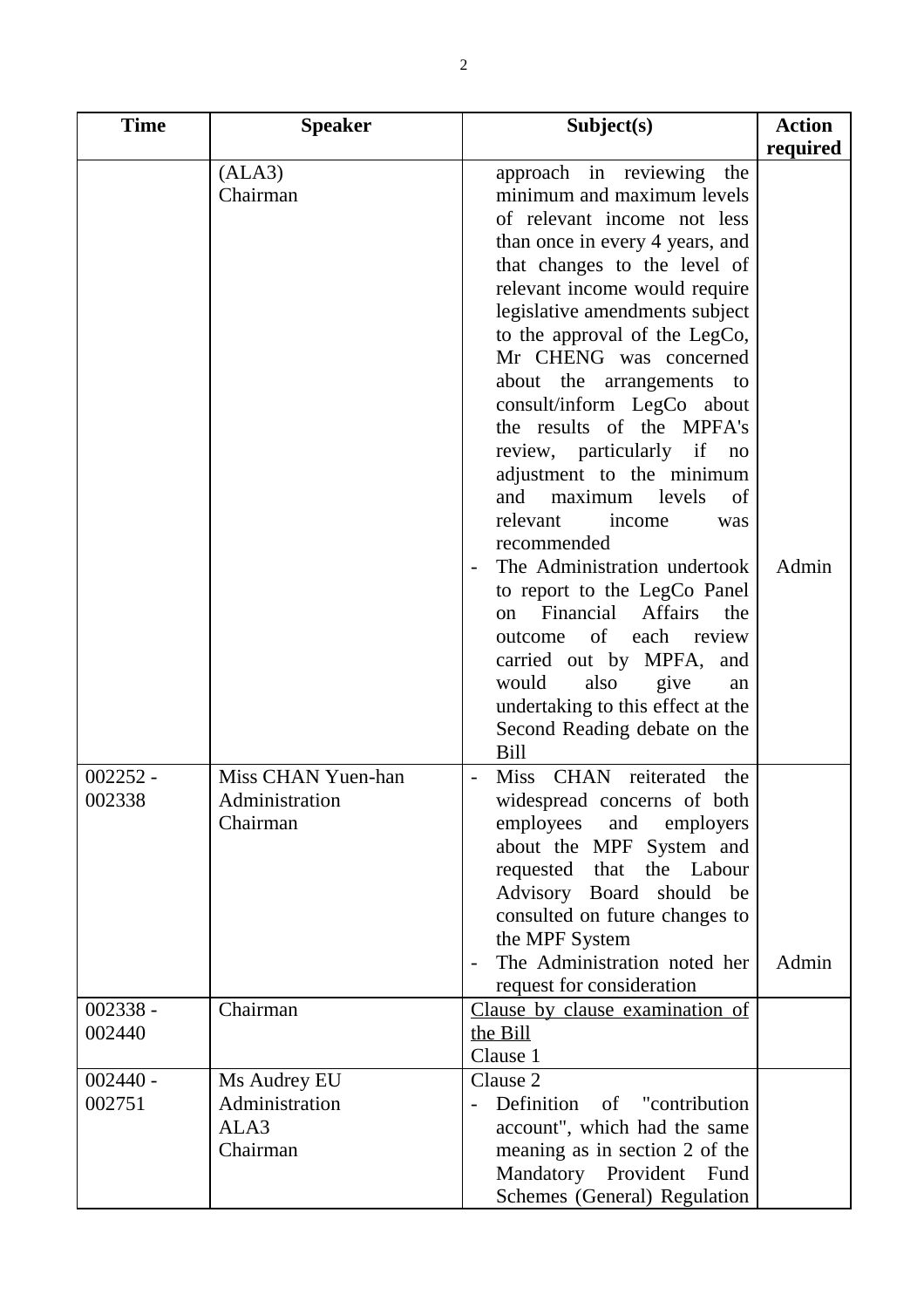| <b>Time</b>          | <b>Speaker</b>                                     | Subject(s)                                                                                                                                                                                                                                                                                                                                                                                                                                                                   | <b>Action</b> |
|----------------------|----------------------------------------------------|------------------------------------------------------------------------------------------------------------------------------------------------------------------------------------------------------------------------------------------------------------------------------------------------------------------------------------------------------------------------------------------------------------------------------------------------------------------------------|---------------|
|                      |                                                    |                                                                                                                                                                                                                                                                                                                                                                                                                                                                              | required      |
|                      | (ALA3)<br>Chairman                                 | approach in reviewing the<br>minimum and maximum levels<br>of relevant income not less<br>than once in every 4 years, and<br>that changes to the level of<br>relevant income would require<br>legislative amendments subject<br>to the approval of the LegCo,<br>Mr CHENG was concerned<br>about the arrangements to<br>consult/inform LegCo about<br>the results of the MPFA's<br>review, particularly if<br>no<br>adjustment to the minimum<br>maximum levels<br>and<br>of |               |
|                      |                                                    | relevant<br>income<br>was<br>recommended<br>The Administration undertook<br>to report to the LegCo Panel<br>Affairs<br>Financial<br>the<br>on<br>of<br>each review<br>outcome<br>carried out by MPFA, and<br>also<br>would<br>give<br>an<br>undertaking to this effect at the<br>Second Reading debate on the<br>Bill                                                                                                                                                        | Admin         |
| $002252 -$<br>002338 | Miss CHAN Yuen-han<br>Administration<br>Chairman   | Miss CHAN reiterated the<br>widespread concerns of both<br>employees and employers<br>about the MPF System and<br>requested that the Labour<br>Advisory Board should be<br>consulted on future changes to<br>the MPF System<br>The Administration noted her<br>request for consideration                                                                                                                                                                                     | Admin         |
| $002338 -$<br>002440 | Chairman                                           | Clause by clause examination of<br>the Bill<br>Clause 1                                                                                                                                                                                                                                                                                                                                                                                                                      |               |
| $002440 -$<br>002751 | Ms Audrey EU<br>Administration<br>ALA3<br>Chairman | Clause 2<br>Definition<br>of "contribution"<br>account", which had the same<br>meaning as in section 2 of the<br>Mandatory Provident Fund<br>Schemes (General) Regulation                                                                                                                                                                                                                                                                                                    |               |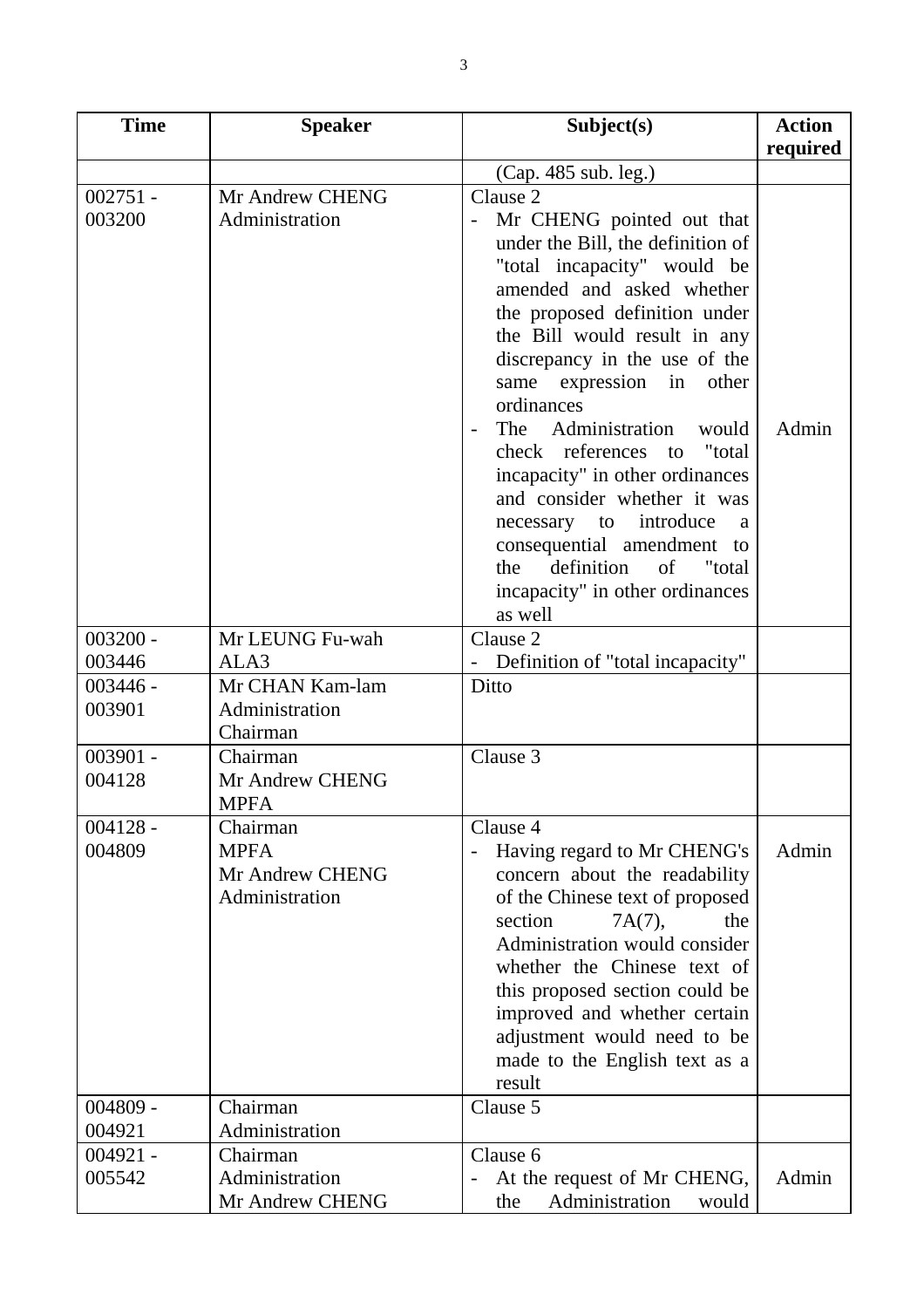| <b>Time</b>          | <b>Speaker</b>                                               | Subject(s)                                                                                                                                                                                                                                                                                                                                                                                                                                                                                                                                                                     | <b>Action</b> |
|----------------------|--------------------------------------------------------------|--------------------------------------------------------------------------------------------------------------------------------------------------------------------------------------------------------------------------------------------------------------------------------------------------------------------------------------------------------------------------------------------------------------------------------------------------------------------------------------------------------------------------------------------------------------------------------|---------------|
|                      |                                                              |                                                                                                                                                                                                                                                                                                                                                                                                                                                                                                                                                                                | required      |
|                      |                                                              | (Cap. 485 sub. leg.)                                                                                                                                                                                                                                                                                                                                                                                                                                                                                                                                                           |               |
| $002751 -$<br>003200 | Mr Andrew CHENG<br>Administration                            | Clause 2<br>Mr CHENG pointed out that<br>under the Bill, the definition of<br>"total incapacity" would be<br>amended and asked whether<br>the proposed definition under<br>the Bill would result in any<br>discrepancy in the use of the<br>same expression in<br>other<br>ordinances<br>The<br>Administration<br>would<br>check references to<br>"total<br>incapacity" in other ordinances<br>and consider whether it was<br>introduce<br>necessary to<br>a<br>consequential amendment to<br>definition<br>the<br>of<br>"total"<br>incapacity" in other ordinances<br>as well | Admin         |
| $003200 -$           | Mr LEUNG Fu-wah                                              | Clause 2                                                                                                                                                                                                                                                                                                                                                                                                                                                                                                                                                                       |               |
| 003446               | ALA3                                                         | Definition of "total incapacity"                                                                                                                                                                                                                                                                                                                                                                                                                                                                                                                                               |               |
| $003446 -$<br>003901 | Mr CHAN Kam-lam<br>Administration<br>Chairman                | Ditto                                                                                                                                                                                                                                                                                                                                                                                                                                                                                                                                                                          |               |
| $003901 -$<br>004128 | Chairman<br>Mr Andrew CHENG<br><b>MPFA</b>                   | Clause 3                                                                                                                                                                                                                                                                                                                                                                                                                                                                                                                                                                       |               |
| $004128 -$<br>004809 | Chairman<br><b>MPFA</b><br>Mr Andrew CHENG<br>Administration | Clause 4<br>Having regard to Mr CHENG's<br>concern about the readability<br>of the Chinese text of proposed<br>section<br>7A(7),<br>the<br>Administration would consider<br>whether the Chinese text of<br>this proposed section could be<br>improved and whether certain<br>adjustment would need to be<br>made to the English text as a<br>result                                                                                                                                                                                                                            | Admin         |
| $004809 -$           | Chairman                                                     | Clause 5                                                                                                                                                                                                                                                                                                                                                                                                                                                                                                                                                                       |               |
| 004921               | Administration                                               |                                                                                                                                                                                                                                                                                                                                                                                                                                                                                                                                                                                |               |
| $004921 -$<br>005542 | Chairman<br>Administration<br>Mr Andrew CHENG                | Clause 6<br>At the request of Mr CHENG,<br>Administration<br>the<br>would                                                                                                                                                                                                                                                                                                                                                                                                                                                                                                      | Admin         |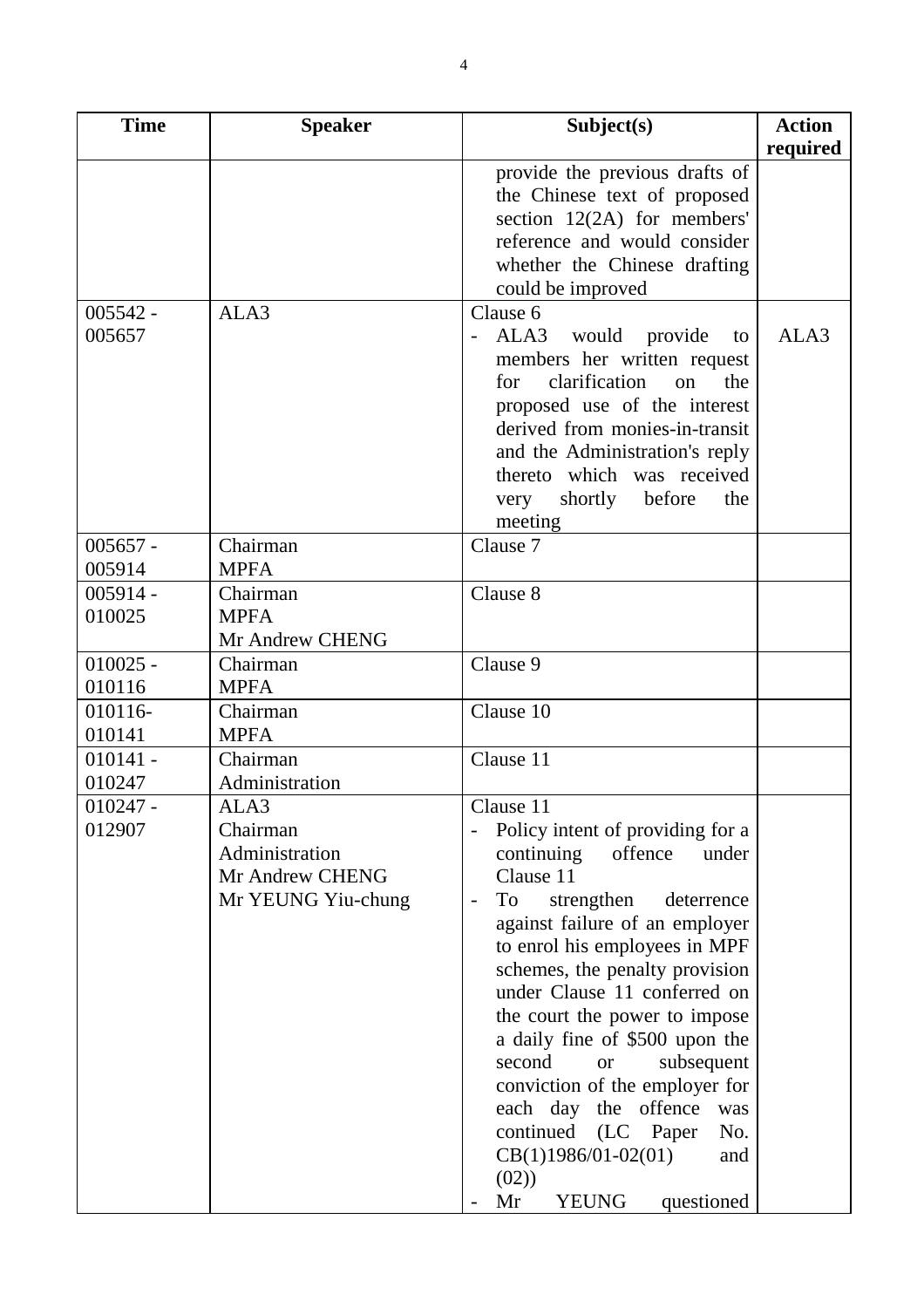| <b>Time</b>          | <b>Speaker</b>                                                              | Subject(s)                                                                                                                                                                                                                                                                                                                                                                                                                                                                                                                                                                                                         | <b>Action</b> |
|----------------------|-----------------------------------------------------------------------------|--------------------------------------------------------------------------------------------------------------------------------------------------------------------------------------------------------------------------------------------------------------------------------------------------------------------------------------------------------------------------------------------------------------------------------------------------------------------------------------------------------------------------------------------------------------------------------------------------------------------|---------------|
|                      |                                                                             |                                                                                                                                                                                                                                                                                                                                                                                                                                                                                                                                                                                                                    | required      |
|                      |                                                                             | provide the previous drafts of<br>the Chinese text of proposed<br>section 12(2A) for members'<br>reference and would consider<br>whether the Chinese drafting<br>could be improved                                                                                                                                                                                                                                                                                                                                                                                                                                 |               |
| $005542 -$<br>005657 | ALA3                                                                        | Clause 6<br>ALA3 would provide<br>to<br>$\blacksquare$<br>members her written request<br>clarification<br>for<br>on<br>the<br>proposed use of the interest<br>derived from monies-in-transit<br>and the Administration's reply<br>thereto which was received<br>shortly before<br>the<br>very<br>meeting                                                                                                                                                                                                                                                                                                           | ALA3          |
| $005657 -$<br>005914 | Chairman<br><b>MPFA</b>                                                     | Clause 7                                                                                                                                                                                                                                                                                                                                                                                                                                                                                                                                                                                                           |               |
| $005914 -$           | Chairman                                                                    | Clause 8                                                                                                                                                                                                                                                                                                                                                                                                                                                                                                                                                                                                           |               |
| 010025               | <b>MPFA</b>                                                                 |                                                                                                                                                                                                                                                                                                                                                                                                                                                                                                                                                                                                                    |               |
|                      | Mr Andrew CHENG                                                             |                                                                                                                                                                                                                                                                                                                                                                                                                                                                                                                                                                                                                    |               |
| $010025 -$           | Chairman                                                                    | Clause 9                                                                                                                                                                                                                                                                                                                                                                                                                                                                                                                                                                                                           |               |
| 010116               | <b>MPFA</b>                                                                 |                                                                                                                                                                                                                                                                                                                                                                                                                                                                                                                                                                                                                    |               |
| 010116-              | Chairman                                                                    | Clause 10                                                                                                                                                                                                                                                                                                                                                                                                                                                                                                                                                                                                          |               |
| 010141               | <b>MPFA</b>                                                                 |                                                                                                                                                                                                                                                                                                                                                                                                                                                                                                                                                                                                                    |               |
| $010141 -$           | Chairman                                                                    | Clause 11                                                                                                                                                                                                                                                                                                                                                                                                                                                                                                                                                                                                          |               |
| 010247               | Administration                                                              |                                                                                                                                                                                                                                                                                                                                                                                                                                                                                                                                                                                                                    |               |
| $010247 -$<br>012907 | ALA3<br>Chairman<br>Administration<br>Mr Andrew CHENG<br>Mr YEUNG Yiu-chung | Clause 11<br>Policy intent of providing for a<br>$\qquad \qquad \blacksquare$<br>continuing<br>offence<br>under<br>Clause 11<br>To<br>strengthen<br>deterrence<br>$\overline{\phantom{0}}$<br>against failure of an employer<br>to enrol his employees in MPF<br>schemes, the penalty provision<br>under Clause 11 conferred on<br>the court the power to impose<br>a daily fine of \$500 upon the<br>second<br>subsequent<br><b>or</b><br>conviction of the employer for<br>each day the offence<br>was<br>continued (LC Paper<br>No.<br>$CB(1)1986/01-02(01)$<br>and<br>(02)<br><b>YEUNG</b><br>questioned<br>Mr |               |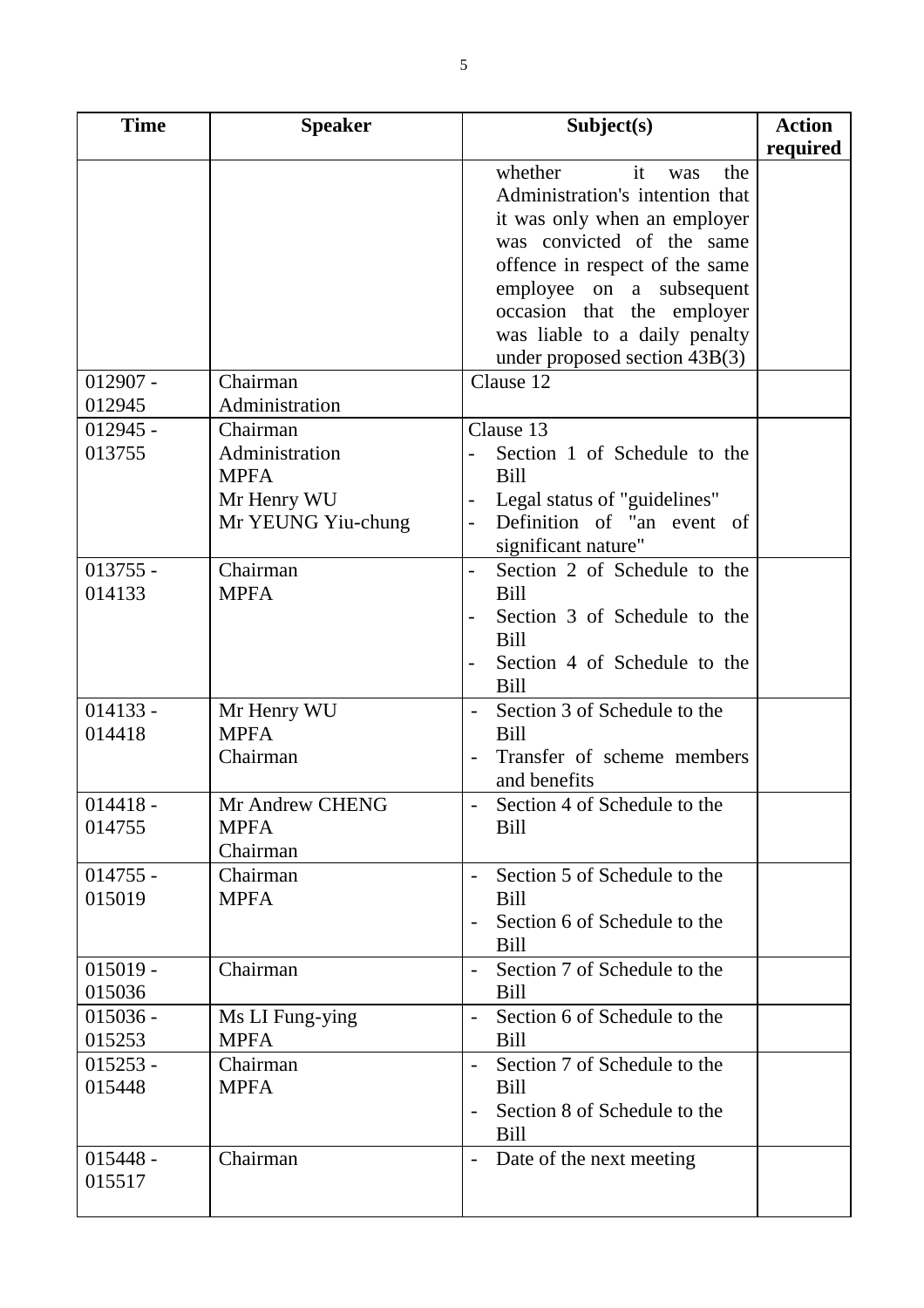| <b>Time</b>          | <b>Speaker</b>          | Subject(s)                                                              | <b>Action</b> |
|----------------------|-------------------------|-------------------------------------------------------------------------|---------------|
|                      |                         |                                                                         | required      |
|                      |                         | whether<br>it<br>the<br>was                                             |               |
|                      |                         | Administration's intention that                                         |               |
|                      |                         | it was only when an employer                                            |               |
|                      |                         | was convicted of the same                                               |               |
|                      |                         | offence in respect of the same                                          |               |
|                      |                         | employee on a subsequent                                                |               |
|                      |                         | occasion that the employer                                              |               |
|                      |                         | was liable to a daily penalty                                           |               |
|                      |                         | under proposed section $43B(3)$                                         |               |
| $012907 -$           | Chairman                | Clause 12                                                               |               |
| 012945               | Administration          |                                                                         |               |
| $012945 -$           | Chairman                | Clause 13                                                               |               |
| 013755               | Administration          | Section 1 of Schedule to the                                            |               |
|                      | <b>MPFA</b>             | Bill                                                                    |               |
|                      | Mr Henry WU             | Legal status of "guidelines"                                            |               |
|                      | Mr YEUNG Yiu-chung      | Definition of "an event of                                              |               |
|                      |                         | significant nature"                                                     |               |
|                      |                         |                                                                         |               |
| $013755 -$<br>014133 | Chairman<br><b>MPFA</b> | Section 2 of Schedule to the                                            |               |
|                      |                         | Bill                                                                    |               |
|                      |                         | Section 3 of Schedule to the<br>$\overline{\phantom{0}}$<br><b>Bill</b> |               |
|                      |                         |                                                                         |               |
|                      |                         | Section 4 of Schedule to the                                            |               |
|                      |                         | <b>Bill</b>                                                             |               |
| $014133 -$           | Mr Henry WU             | Section 3 of Schedule to the<br>$\blacksquare$                          |               |
| 014418               | <b>MPFA</b>             | <b>Bill</b>                                                             |               |
|                      | Chairman                | Transfer of scheme members                                              |               |
|                      |                         | and benefits                                                            |               |
| $014418 -$           | Mr Andrew CHENG         | Section 4 of Schedule to the                                            |               |
| 014755               | <b>MPFA</b>             | <b>Bill</b>                                                             |               |
|                      | Chairman                |                                                                         |               |
| $014755 -$           | Chairman                | Section 5 of Schedule to the                                            |               |
| 015019               | <b>MPFA</b>             | Bill                                                                    |               |
|                      |                         | Section 6 of Schedule to the                                            |               |
|                      |                         | Bill                                                                    |               |
| $015019 -$           | Chairman                | Section 7 of Schedule to the                                            |               |
| 015036               |                         | Bill                                                                    |               |
| $015036 -$           | Ms LI Fung-ying         | Section 6 of Schedule to the                                            |               |
| 015253               | <b>MPFA</b>             | Bill                                                                    |               |
| $015253 -$           | Chairman                | Section 7 of Schedule to the                                            |               |
| 015448               | <b>MPFA</b>             | Bill                                                                    |               |
|                      |                         | Section 8 of Schedule to the                                            |               |
|                      |                         | Bill                                                                    |               |
| $015448 -$           | Chairman                | Date of the next meeting<br>$\overline{\phantom{a}}$                    |               |
| 015517               |                         |                                                                         |               |
|                      |                         |                                                                         |               |